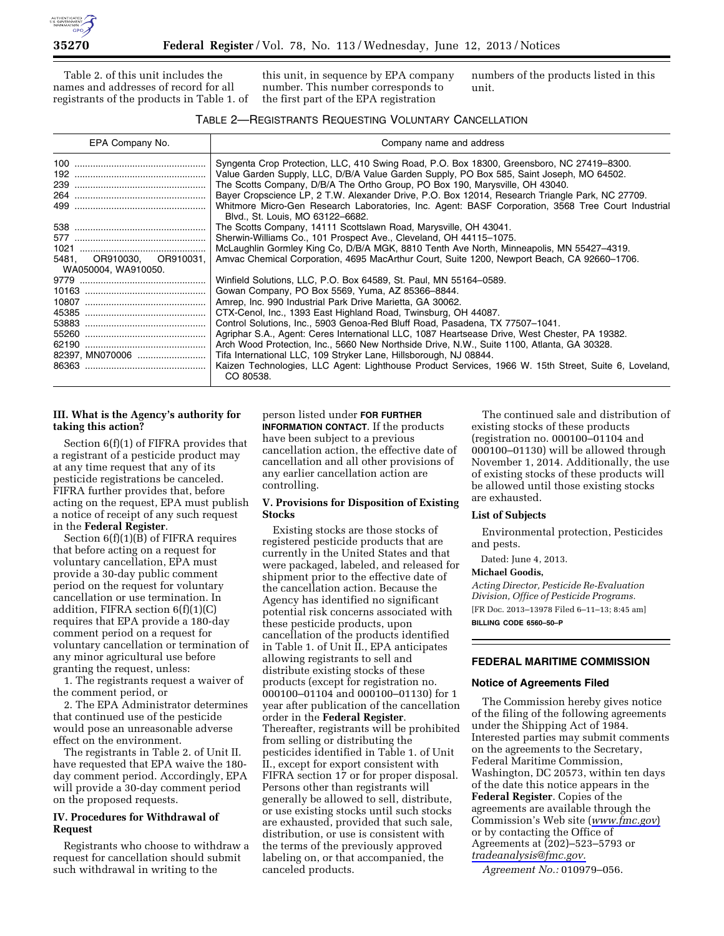

Table 2. of this unit includes the names and addresses of record for all registrants of the products in Table 1. of this unit, in sequence by EPA company number. This number corresponds to the first part of the EPA registration

numbers of the products listed in this unit.

#### TABLE 2—REGISTRANTS REQUESTING VOLUNTARY CANCELLATION

| EPA Company No.                                  | Company name and address                                                                                                                                                                                                                                                                                                                                                                                                                                                                                                                                                                                                                                                                                                      |
|--------------------------------------------------|-------------------------------------------------------------------------------------------------------------------------------------------------------------------------------------------------------------------------------------------------------------------------------------------------------------------------------------------------------------------------------------------------------------------------------------------------------------------------------------------------------------------------------------------------------------------------------------------------------------------------------------------------------------------------------------------------------------------------------|
|                                                  | Syngenta Crop Protection, LLC, 410 Swing Road, P.O. Box 18300, Greensboro, NC 27419-8300.<br>Value Garden Supply, LLC, D/B/A Value Garden Supply, PO Box 585, Saint Joseph, MO 64502.<br>The Scotts Company, D/B/A The Ortho Group, PO Box 190, Marysville, OH 43040.<br>Bayer Cropscience LP, 2 T.W. Alexander Drive, P.O. Box 12014, Research Triangle Park, NC 27709.<br>Whitmore Micro-Gen Research Laboratories, Inc. Agent: BASF Corporation, 3568 Tree Court Industrial<br>Blvd., St. Louis, MO 63122-6682.                                                                                                                                                                                                            |
| 5481. OR910030. OR910031.<br>WA050004, WA910050. | The Scotts Company, 14111 Scottslawn Road, Marysville, OH 43041.<br>Sherwin-Williams Co., 101 Prospect Ave., Cleveland, OH 44115-1075.<br>McLaughlin Gormley King Co, D/B/A MGK, 8810 Tenth Ave North, Minneapolis, MN 55427-4319.<br>Amvac Chemical Corporation, 4695 MacArthur Court, Suite 1200, Newport Beach, CA 92660-1706.                                                                                                                                                                                                                                                                                                                                                                                             |
| 82397, MN070006                                  | Winfield Solutions, LLC, P.O. Box 64589, St. Paul, MN 55164-0589.<br>Gowan Company, PO Box 5569, Yuma, AZ 85366-8844.<br>Amrep, Inc. 990 Industrial Park Drive Marietta, GA 30062.<br>CTX-Cenol, Inc., 1393 East Highland Road, Twinsburg, OH 44087.<br>Control Solutions, Inc., 5903 Genoa-Red Bluff Road, Pasadena, TX 77507-1041.<br>Agriphar S.A., Agent: Ceres International LLC, 1087 Heartsease Drive, West Chester, PA 19382.<br>Arch Wood Protection, Inc., 5660 New Northside Drive, N.W., Suite 1100, Atlanta, GA 30328.<br>Tifa International LLC, 109 Stryker Lane, Hillsborough, NJ 08844.<br>Kaizen Technologies, LLC Agent: Lighthouse Product Services, 1966 W. 15th Street, Suite 6, Loveland,<br>CO 80538. |

# **III. What is the Agency's authority for taking this action?**

Section 6(f)(1) of FIFRA provides that a registrant of a pesticide product may at any time request that any of its pesticide registrations be canceled. FIFRA further provides that, before acting on the request, EPA must publish a notice of receipt of any such request in the **Federal Register**.

Section 6(f)(1)(B) of FIFRA requires that before acting on a request for voluntary cancellation, EPA must provide a 30-day public comment period on the request for voluntary cancellation or use termination. In addition, FIFRA section 6(f)(1)(C) requires that EPA provide a 180-day comment period on a request for voluntary cancellation or termination of any minor agricultural use before granting the request, unless:

1. The registrants request a waiver of the comment period, or

2. The EPA Administrator determines that continued use of the pesticide would pose an unreasonable adverse effect on the environment.

The registrants in Table 2. of Unit II. have requested that EPA waive the 180 day comment period. Accordingly, EPA will provide a 30-day comment period on the proposed requests.

# **IV. Procedures for Withdrawal of Request**

Registrants who choose to withdraw a request for cancellation should submit such withdrawal in writing to the

# person listed under **FOR FURTHER**

**INFORMATION CONTACT**. If the products have been subject to a previous cancellation action, the effective date of cancellation and all other provisions of any earlier cancellation action are controlling.

# **V. Provisions for Disposition of Existing Stocks**

Existing stocks are those stocks of registered pesticide products that are currently in the United States and that were packaged, labeled, and released for shipment prior to the effective date of the cancellation action. Because the Agency has identified no significant potential risk concerns associated with these pesticide products, upon cancellation of the products identified in Table 1. of Unit II., EPA anticipates allowing registrants to sell and distribute existing stocks of these products (except for registration no. 000100–01104 and 000100–01130) for 1 year after publication of the cancellation order in the **Federal Register**. Thereafter, registrants will be prohibited from selling or distributing the pesticides identified in Table 1. of Unit II., except for export consistent with FIFRA section 17 or for proper disposal. Persons other than registrants will generally be allowed to sell, distribute, or use existing stocks until such stocks are exhausted, provided that such sale, distribution, or use is consistent with the terms of the previously approved labeling on, or that accompanied, the canceled products.

The continued sale and distribution of existing stocks of these products (registration no. 000100–01104 and 000100–01130) will be allowed through November 1, 2014. Additionally, the use of existing stocks of these products will be allowed until those existing stocks are exhausted.

#### **List of Subjects**

Environmental protection, Pesticides and pests.

Dated: June 4, 2013.

#### **Michael Goodis,**

*Acting Director, Pesticide Re-Evaluation Division, Office of Pesticide Programs.*  [FR Doc. 2013–13978 Filed 6–11–13; 8:45 am]

**BILLING CODE 6560–50–P** 

### **FEDERAL MARITIME COMMISSION**

#### **Notice of Agreements Filed**

The Commission hereby gives notice of the filing of the following agreements under the Shipping Act of 1984. Interested parties may submit comments on the agreements to the Secretary, Federal Maritime Commission, Washington, DC 20573, within ten days of the date this notice appears in the **Federal Register**. Copies of the agreements are available through the Commission's Web site (*[www.fmc.gov](http://www.fmc.gov)*) or by contacting the Office of Agreements at (202)–523–5793 or *[tradeanalysis@fmc.gov.](mailto:tradeanalysis@fmc.gov)* 

*Agreement No.:* 010979–056.